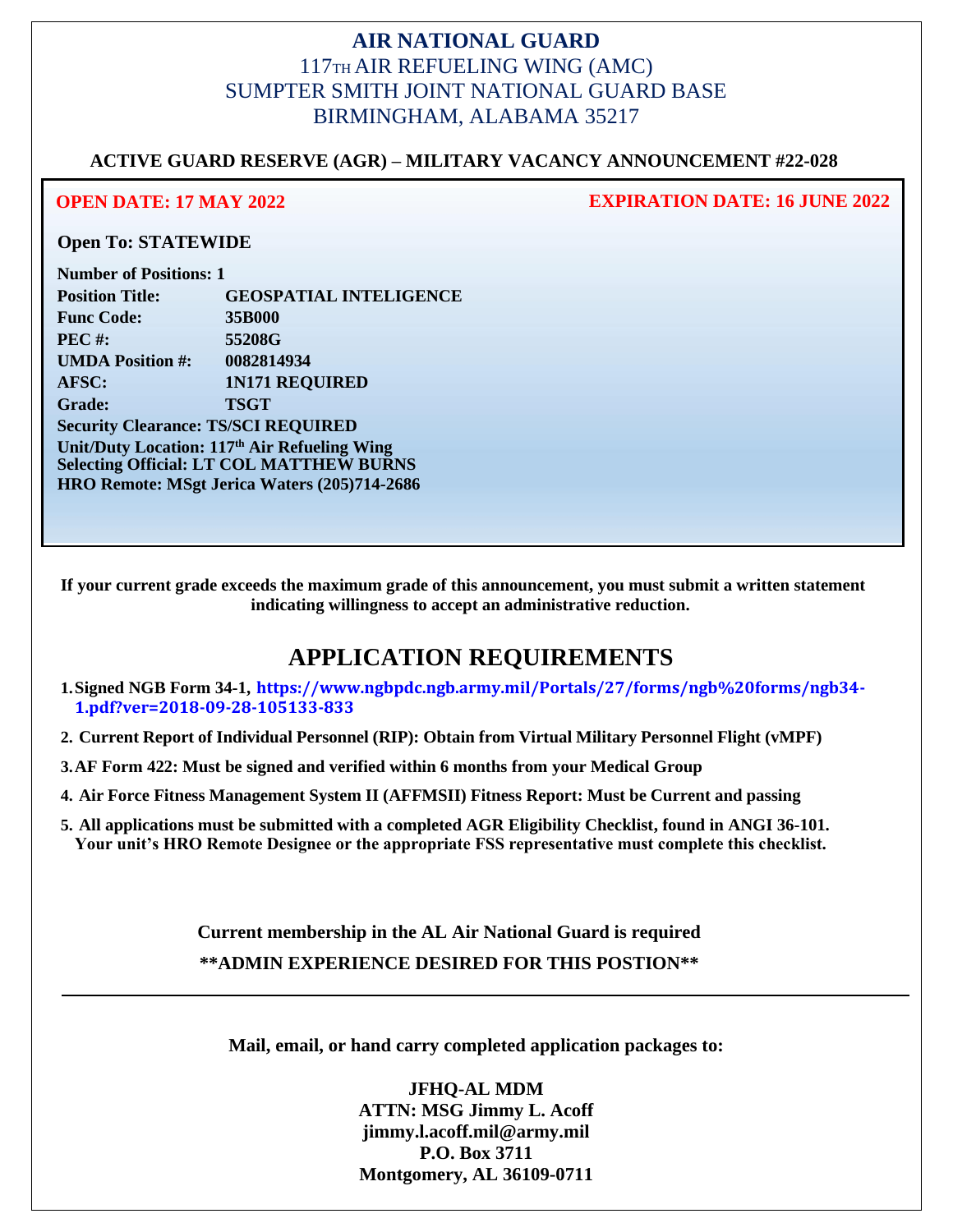## **AIR NATIONAL GUARD** 117TH AIR REFUELING WING (AMC) SUMPTER SMITH JOINT NATIONAL GUARD BASE BIRMINGHAM, ALABAMA 35217

### **ACTIVE GUARD RESERVE (AGR) – MILITARY VACANCY ANNOUNCEMENT #22-028**

**OPEN DATE: 17 MAY 2022 EXPIRATION DATE: 16 JUNE 2022**

### **Open To: STATEWIDE**

| <b>Number of Positions: 1</b>                            |                               |
|----------------------------------------------------------|-------------------------------|
| <b>Position Title:</b>                                   | <b>GEOSPATIAL INTELIGENCE</b> |
| <b>Func Code:</b>                                        | 35B000                        |
| <b>PEC#:</b>                                             | 55208G                        |
| <b>UMDA Position #:</b>                                  | 0082814934                    |
| AFSC:                                                    | <b>1N171 REQUIRED</b>         |
| <b>Grade:</b>                                            | <b>TSGT</b>                   |
| <b>Security Clearance: TS/SCI REQUIRED</b>               |                               |
| Unit/Duty Location: 117 <sup>th</sup> Air Refueling Wing |                               |
| <b>Selecting Official: LT COL MATTHEW BURNS</b>          |                               |
| HRO Remote: MSgt Jerica Waters (205)714-2686             |                               |

**If your current grade exceeds the maximum grade of this announcement, you must submit a written statement indicating willingness to accept an administrative reduction.**

# **APPLICATION REQUIREMENTS**

- **1.Signed NGB Form 34-1, https://www.ngbpdc.ngb.army.mil/Portals/27/forms/ngb%20forms/ngb34- 1.pdf?ver=2018-09-28-105133-833**
- **2. Current Report of Individual Personnel (RIP): Obtain from Virtual Military Personnel Flight (vMPF)**
- **3.AF Form 422: Must be signed and verified within 6 months from your Medical Group**
- **4. Air Force Fitness Management System II (AFFMSII) Fitness Report: Must be Current and passing**
- **5. All applications must be submitted with a completed AGR Eligibility Checklist, found in ANGI 36-101. Your unit's HRO Remote Designee or the appropriate FSS representative must complete this checklist.**

**Current membership in the AL Air National Guard is required \*\*ADMIN EXPERIENCE DESIRED FOR THIS POSTION\*\***

**Mail, email, or hand carry completed application packages to:**

**JFHQ-AL MDM ATTN: MSG Jimmy L. Acoff jimmy.l.acoff.mil@army.mil P.O. Box 3711 Montgomery, AL 36109-0711**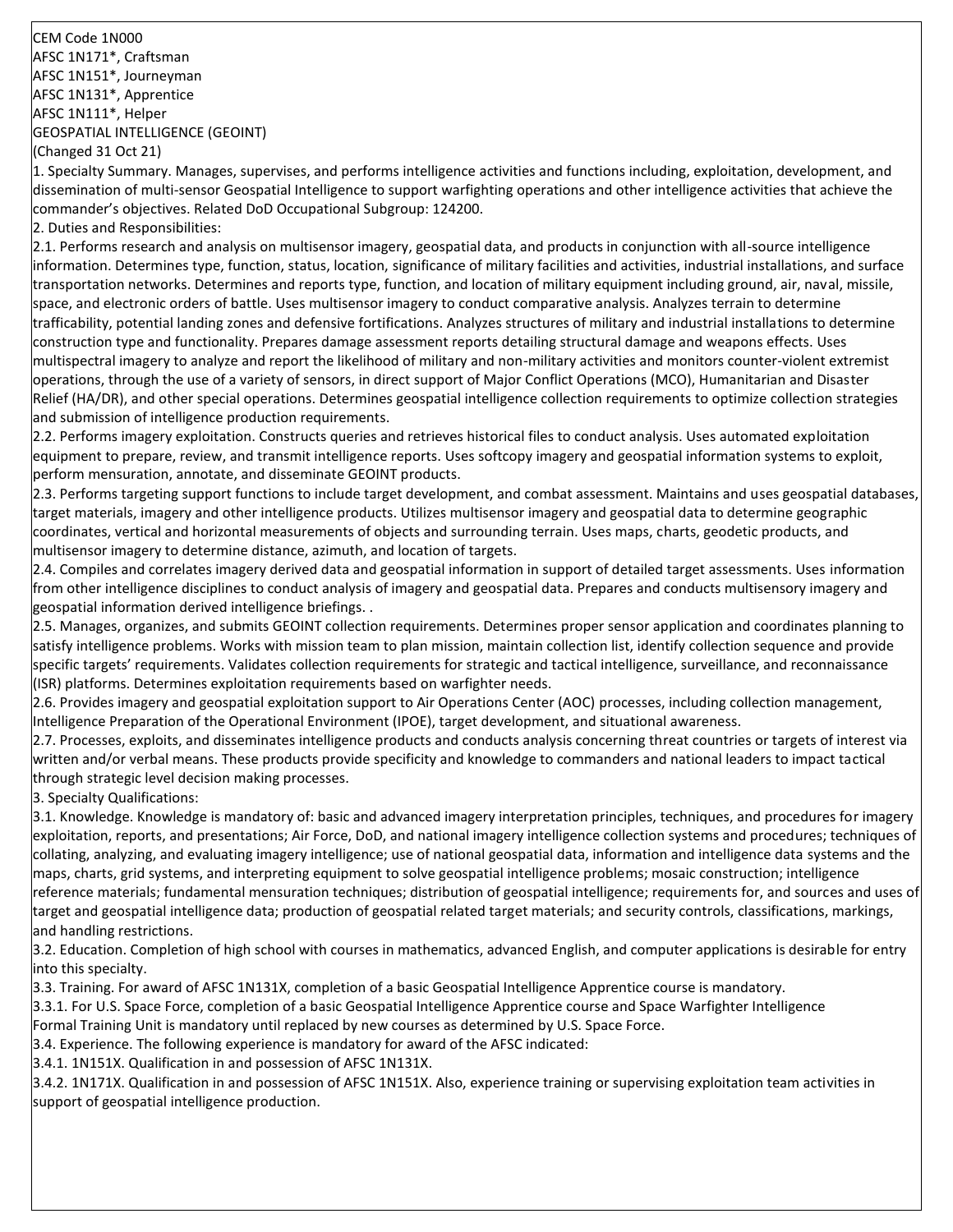CEM Code 1N000 AFSC 1N171\*, Craftsman AFSC 1N151\*, Journeyman AFSC 1N131\*, Apprentice AFSC 1N111\*, Helper GEOSPATIAL INTELLIGENCE (GEOINT) (Changed 31 Oct 21)

1. Specialty Summary. Manages, supervises, and performs intelligence activities and functions including, exploitation, development, and dissemination of multi-sensor Geospatial Intelligence to support warfighting operations and other intelligence activities that achieve the commander's objectives. Related DoD Occupational Subgroup: 124200.

2. Duties and Responsibilities:

2.1. Performs research and analysis on multisensor imagery, geospatial data, and products in conjunction with all-source intelligence information. Determines type, function, status, location, significance of military facilities and activities, industrial installations, and surface transportation networks. Determines and reports type, function, and location of military equipment including ground, air, naval, missile, space, and electronic orders of battle. Uses multisensor imagery to conduct comparative analysis. Analyzes terrain to determine trafficability, potential landing zones and defensive fortifications. Analyzes structures of military and industrial installations to determine construction type and functionality. Prepares damage assessment reports detailing structural damage and weapons effects. Uses multispectral imagery to analyze and report the likelihood of military and non-military activities and monitors counter-violent extremist operations, through the use of a variety of sensors, in direct support of Major Conflict Operations (MCO), Humanitarian and Disaster Relief (HA/DR), and other special operations. Determines geospatial intelligence collection requirements to optimize collection strategies and submission of intelligence production requirements.

2.2. Performs imagery exploitation. Constructs queries and retrieves historical files to conduct analysis. Uses automated exploitation equipment to prepare, review, and transmit intelligence reports. Uses softcopy imagery and geospatial information systems to exploit, perform mensuration, annotate, and disseminate GEOINT products.

2.3. Performs targeting support functions to include target development, and combat assessment. Maintains and uses geospatial databases, target materials, imagery and other intelligence products. Utilizes multisensor imagery and geospatial data to determine geographic coordinates, vertical and horizontal measurements of objects and surrounding terrain. Uses maps, charts, geodetic products, and multisensor imagery to determine distance, azimuth, and location of targets.

2.4. Compiles and correlates imagery derived data and geospatial information in support of detailed target assessments. Uses information from other intelligence disciplines to conduct analysis of imagery and geospatial data. Prepares and conducts multisensory imagery and geospatial information derived intelligence briefings. .

2.5. Manages, organizes, and submits GEOINT collection requirements. Determines proper sensor application and coordinates planning to satisfy intelligence problems. Works with mission team to plan mission, maintain collection list, identify collection sequence and provide specific targets' requirements. Validates collection requirements for strategic and tactical intelligence, surveillance, and reconnaissance (ISR) platforms. Determines exploitation requirements based on warfighter needs.

2.6. Provides imagery and geospatial exploitation support to Air Operations Center (AOC) processes, including collection management, Intelligence Preparation of the Operational Environment (IPOE), target development, and situational awareness.

2.7. Processes, exploits, and disseminates intelligence products and conducts analysis concerning threat countries or targets of interest via written and/or verbal means. These products provide specificity and knowledge to commanders and national leaders to impact tactical through strategic level decision making processes.

3. Specialty Qualifications:

3.1. Knowledge. Knowledge is mandatory of: basic and advanced imagery interpretation principles, techniques, and procedures for imagery exploitation, reports, and presentations; Air Force, DoD, and national imagery intelligence collection systems and procedures; techniques of collating, analyzing, and evaluating imagery intelligence; use of national geospatial data, information and intelligence data systems and the maps, charts, grid systems, and interpreting equipment to solve geospatial intelligence problems; mosaic construction; intelligence reference materials; fundamental mensuration techniques; distribution of geospatial intelligence; requirements for, and sources and uses of target and geospatial intelligence data; production of geospatial related target materials; and security controls, classifications, markings, and handling restrictions.

3.2. Education. Completion of high school with courses in mathematics, advanced English, and computer applications is desirable for entry into this specialty.

3.3. Training. For award of AFSC 1N131X, completion of a basic Geospatial Intelligence Apprentice course is mandatory.

3.3.1. For U.S. Space Force, completion of a basic Geospatial Intelligence Apprentice course and Space Warfighter Intelligence

Formal Training Unit is mandatory until replaced by new courses as determined by U.S. Space Force.

3.4. Experience. The following experience is mandatory for award of the AFSC indicated:

3.4.1. 1N151X. Qualification in and possession of AFSC 1N131X.

3.4.2. 1N171X. Qualification in and possession of AFSC 1N151X. Also, experience training or supervising exploitation team activities in support of geospatial intelligence production.